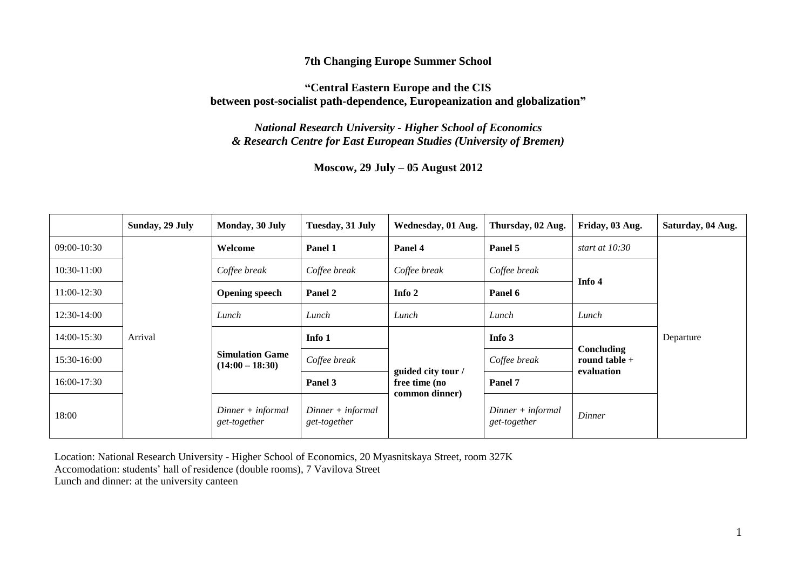### **7th Changing Europe Summer School**

### **"Central Eastern Europe and the CIS between post-socialist path-dependence, Europeanization and globalization"**

*National Research University - Higher School of Economics & Research Centre for East European Studies (University of Bremen)*

**Moscow, 29 July – 05 August 2012**

|               | Sunday, 29 July | Monday, 30 July                             | Tuesday, 31 July                    | Wednesday, 01 Aug.                                    | Thursday, 02 Aug.                   | Friday, 03 Aug.                                    | Saturday, 04 Aug. |
|---------------|-----------------|---------------------------------------------|-------------------------------------|-------------------------------------------------------|-------------------------------------|----------------------------------------------------|-------------------|
| $09:00-10:30$ | Arrival         | Welcome                                     | Panel 1                             | Panel 4                                               | Panel 5                             | start at $10:30$                                   | Departure         |
| 10:30-11:00   |                 | Coffee break                                | Coffee break                        | Coffee break                                          | Coffee break                        | Info 4                                             |                   |
| 11:00-12:30   |                 | <b>Opening speech</b>                       | Panel 2                             | Info 2                                                | Panel 6                             |                                                    |                   |
| 12:30-14:00   |                 | Lunch                                       | Lunch                               | Lunch                                                 | Lunch                               | Lunch                                              |                   |
| 14:00-15:30   |                 | <b>Simulation Game</b><br>$(14:00 - 18:30)$ | Info 1                              | guided city tour /<br>free time (no<br>common dinner) | Info 3                              | <b>Concluding</b><br>round table $+$<br>evaluation |                   |
| 15:30-16:00   |                 |                                             | Coffee break                        |                                                       | Coffee break                        |                                                    |                   |
| 16:00-17:30   |                 |                                             | Panel 3                             |                                                       | Panel 7                             |                                                    |                   |
| 18:00         |                 | $Dinner + informal$<br>get-together         | $Dinner + informal$<br>get-together |                                                       | $Dinner + informal$<br>get-together | <b>Dinner</b>                                      |                   |

Location: National Research University - Higher School of Economics, 20 Myasnitskaya Street, room 327K Accomodation: students' hall of residence (double rooms), 7 Vavilova Street Lunch and dinner: at the university canteen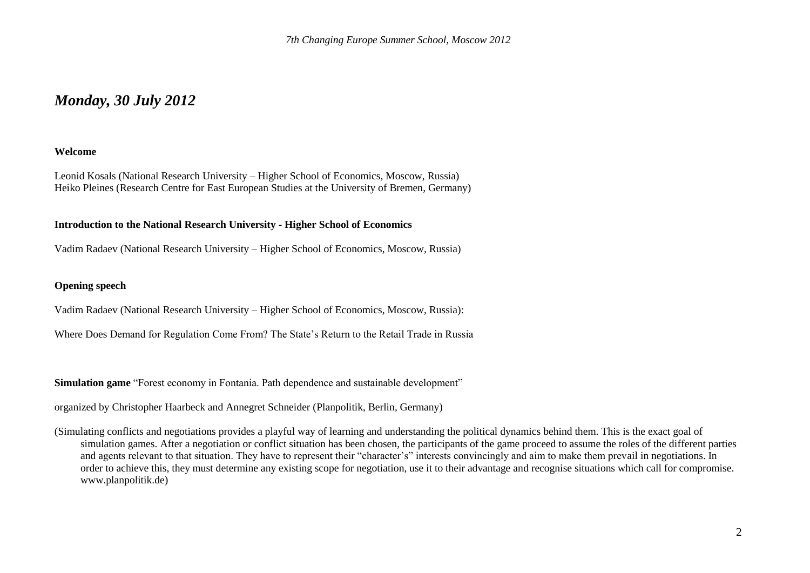## *Monday, 30 July 2012*

#### **Welcome**

Leonid Kosals (National Research University – Higher School of Economics, Moscow, Russia) Heiko Pleines (Research Centre for East European Studies at the University of Bremen, Germany)

#### **Introduction to the National Research University - Higher School of Economics**

Vadim Radaev (National Research University – Higher School of Economics, Moscow, Russia)

#### **Opening speech**

Vadim Radaev (National Research University – Higher School of Economics, Moscow, Russia):

Where Does Demand for Regulation Come From? The State's Return to the Retail Trade in Russia

**Simulation game** "Forest economy in Fontania. Path dependence and sustainable development"

organized by Christopher Haarbeck and Annegret Schneider (Planpolitik, Berlin, Germany)

(Simulating conflicts and negotiations provides a playful way of learning and understanding the political dynamics behind them. This is the exact goal of simulation games. After a negotiation or conflict situation has been chosen, the participants of the game proceed to assume the roles of the different parties and agents relevant to that situation. They have to represent their "character's" interests convincingly and aim to make them prevail in negotiations. In order to achieve this, they must determine any existing scope for negotiation, use it to their advantage and recognise situations which call for compromise. www.planpolitik.de)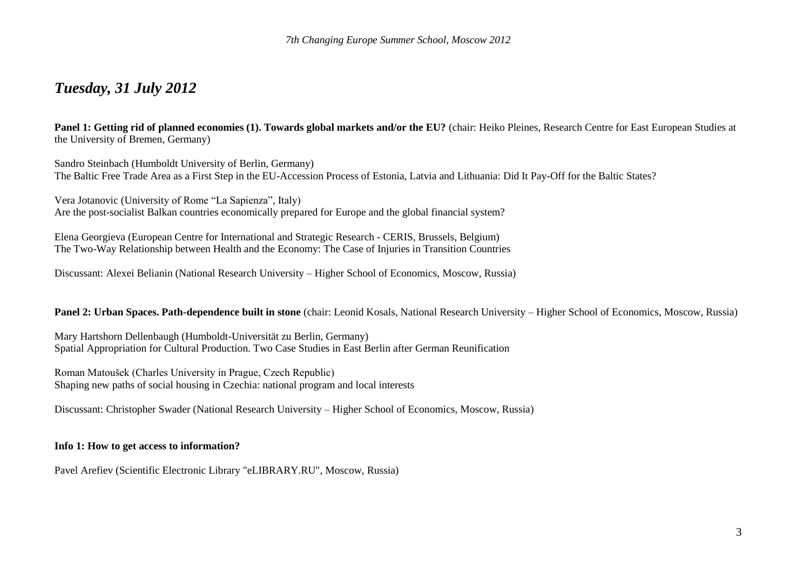## *Tuesday, 31 July 2012*

**Panel 1: Getting rid of planned economies (1). Towards global markets and/or the EU?** (chair: Heiko Pleines, Research Centre for East European Studies at the University of Bremen, Germany)

Sandro Steinbach (Humboldt University of Berlin, Germany) The Baltic Free Trade Area as a First Step in the EU-Accession Process of Estonia, Latvia and Lithuania: Did It Pay-Off for the Baltic States?

Vera Jotanovic (University of Rome "La Sapienza", Italy) Are the post-socialist Balkan countries economically prepared for Europe and the global financial system?

Elena Georgieva (European Centre for International and Strategic Research - CERIS, Brussels, Belgium) The Two-Way Relationship between Health and the Economy: The Case of Injuries in Transition Countries

Discussant: Alexei Belianin (National Research University – Higher School of Economics, Moscow, Russia)

#### **Panel 2: Urban Spaces. Path-dependence built in stone** (chair: Leonid Kosals, National Research University – Higher School of Economics, Moscow, Russia)

Mary Hartshorn Dellenbaugh (Humboldt-Universität zu Berlin, Germany) Spatial Appropriation for Cultural Production. Two Case Studies in East Berlin after German Reunification

Roman Matoušek (Charles University in Prague, Czech Republic) Shaping new paths of social housing in Czechia: national program and local interests

Discussant: Christopher Swader (National Research University – Higher School of Economics, Moscow, Russia)

#### **Info 1: How to get access to information?**

Pavel Arefiev (Scientific Electronic Library "eLIBRARY.RU", Moscow, Russia)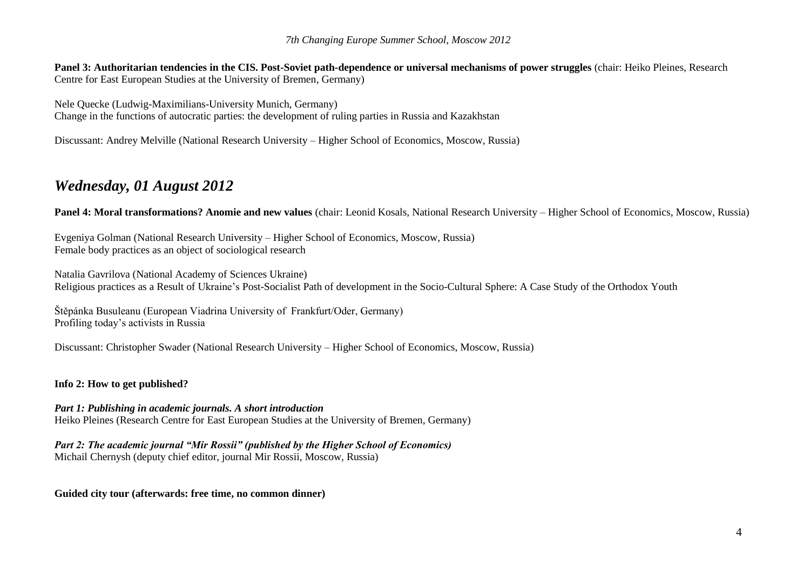**Panel 3: Authoritarian tendencies in the CIS. Post-Soviet path-dependence or universal mechanisms of power struggles (chair: Heiko Pleines, Research** Centre for East European Studies at the University of Bremen, Germany)

Nele Quecke (Ludwig-Maximilians-University Munich, Germany) Change in the functions of autocratic parties: the development of ruling parties in Russia and Kazakhstan

Discussant: Andrey Melville (National Research University – Higher School of Economics, Moscow, Russia)

# *Wednesday, 01 August 2012*

**Panel 4: Moral transformations? Anomie and new values** (chair: Leonid Kosals, National Research University – Higher School of Economics, Moscow, Russia)

Evgeniya Golman (National Research University – Higher School of Economics, Moscow, Russia) Female body practices as an object of sociological research

Natalia Gavrilova (National Academy of Sciences Ukraine) Religious practices as a Result of Ukraine's Post-Socialist Path of development in the Socio-Cultural Sphere: A Case Study of the Orthodox Youth

Štěpánka Busuleanu (European Viadrina University of Frankfurt/Oder, Germany) Profiling today's activists in Russia

Discussant: Christopher Swader (National Research University – Higher School of Economics, Moscow, Russia)

### **Info 2: How to get published?**

### *Part 1: Publishing in academic journals. A short introduction*

Heiko Pleines (Research Centre for East European Studies at the University of Bremen, Germany)

*Part 2: The academic journal "Mir Rossii" (published by the Higher School of Economics)*

Michail Chernysh (deputy chief editor, journal Mir Rossii, Moscow, Russia)

**Guided city tour (afterwards: free time, no common dinner)**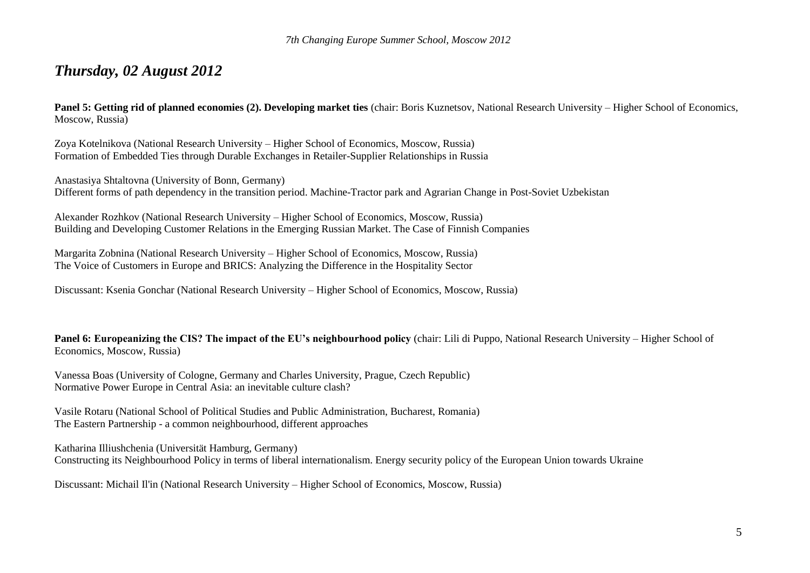## *Thursday, 02 August 2012*

**Panel 5: Getting rid of planned economies (2). Developing market ties** (chair: Boris Kuznetsov, National Research University – Higher School of Economics, Moscow, Russia)

Zoya Kotelnikova (National Research University – Higher School of Economics, Moscow, Russia) Formation of Embedded Ties through Durable Exchanges in Retailer-Supplier Relationships in Russia

Anastasiya Shtaltovna (University of Bonn, Germany) Different forms of path dependency in the transition period. Machine-Tractor park and Agrarian Change in Post-Soviet Uzbekistan

Alexander Rozhkov (National Research University – Higher School of Economics, Moscow, Russia) Building and Developing Customer Relations in the Emerging Russian Market. The Case of Finnish Companies

Margarita Zobnina (National Research University – Higher School of Economics, Moscow, Russia) The Voice of Customers in Europe and BRICS: Analyzing the Difference in the Hospitality Sector

Discussant: Ksenia Gonchar (National Research University – Higher School of Economics, Moscow, Russia)

**Panel 6: Europeanizing the CIS? The impact of the EU's neighbourhood policy** (chair: Lili di Puppo, National Research University – Higher School of Economics, Moscow, Russia)

Vanessa Boas (University of Cologne, Germany and Charles University, Prague, Czech Republic) Normative Power Europe in Central Asia: an inevitable culture clash?

Vasile Rotaru (National School of Political Studies and Public Administration, Bucharest, Romania) The Eastern Partnership - a common neighbourhood, different approaches

Katharina Illiushchenia (Universität Hamburg, Germany) Constructing its Neighbourhood Policy in terms of liberal internationalism. Energy security policy of the European Union towards Ukraine

Discussant: Michail Il'in (National Research University – Higher School of Economics, Moscow, Russia)